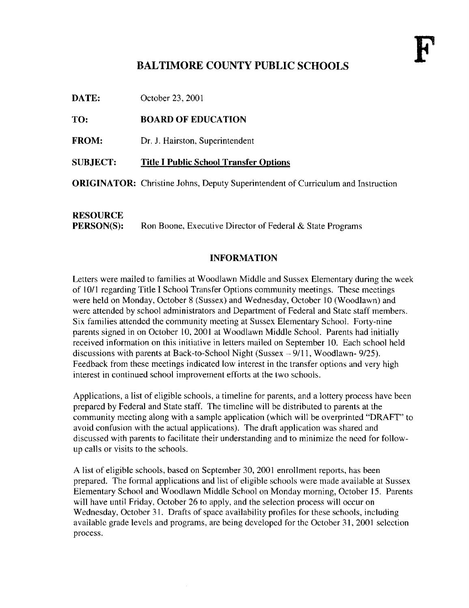### BALTIMORE COUNTY PUBLIC SCHOOLS

October 23, 2001 DATE:

#### BOARD OF EDUCATION TO:

- Dr. J. Hairston, Superintendent FROM:
- Title <sup>I</sup> Public School Transfer Options SUBJECT:

ORIGINATOR: Christine Johns, Deputy Superintendent of Curriculum and Instruction

## **RESOURCE**<br>PERSON(S):

Ron Boone, Executive Director of Federal & State Programs

### INFORMATION

Letters were mailed to families at Woodlawn Middle and Sussex Elementary during the week of 1011 regarding Title I School Transfer Options community meetings. These meetings were held on Monday, October 8 (Sussex) and Wednesday, October 10 (Woodlawn) and were attended by school administrators and Department of Federal and State staff members. Six families attended the community meeting at Sussex Elementary School. Forty-nine parents signed in on October 10, 2001 at Woodlawn Middle School . Parents had initially received information on this initiative in letters mailed on September 10. Each school held discussions with parents at Back-to-School Night (Sussex  $-9/11$ , Woodlawn- 9/25). Feedback from these meetings indicated low interest in the transfer options and very high interest in continued school improvement efforts at the two schools.

Applications, a list of eligible schools, a timeline for parents, and a lottery process have been prepared by Federal and State staff. The timeline will be distributed to parents at the community meeting along with a sample application (which will be overprinted "DRAFT" to avoid confusion with the actual applications). The draft application was shared and discussed with parents to facilitate their understanding and to minimize the need for followup calls or visits to the schools.

A list of eligible schools, based on September 30, <sup>2001</sup> enrollment reports, has been prepared. The formal applications and list of eligible schools were made available at Sussex Elementary School and Woodlawn Middle School on Monday morning, October <sup>15</sup> . Parents will have until Friday, October 26 to apply, and the selection process will occur on Wednesday, October 31. Drafts of space availability profiles for these schools, including available grade levels and programs, are being developed for the October 31, 2001 selection process .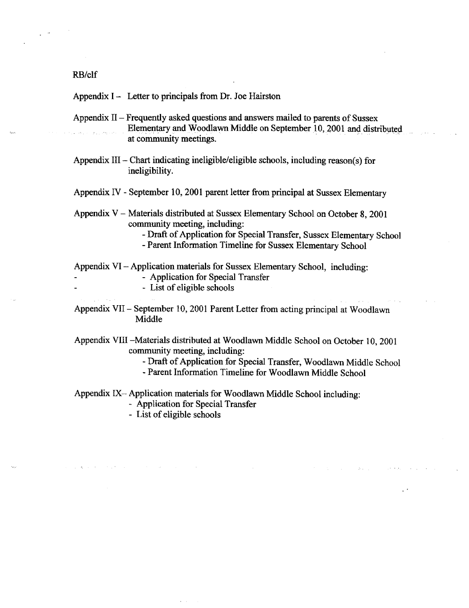### RB/clf

Appendix  $I -$  Letter to principals from Dr. Joe Hairston

- Appendix  $II$  Frequently asked questions and answers mailed to parents of Sussex Elementary and Woodlawn Middle on September 10, 2001 and distributed at community meetings.
- Appendix III Chart indicating ineligible/eligible schools, including reason(s) for ineligibility.
- Appendix IV September 10, 2001 parent letter from principal at Sussex Elementary
- Appendix V Materials distributed at Sussex Elementary School on October 8, 2001 community meeting, including:

- Draft of Application for Special Transfer, Sussex Elementary School

- Parent Information Timeline for Sussex Elementary School

Appendix VI - Application materials for Sussex Elementary School, including:

- Application for Special Transfer
- List of eligible schools
- Appendix VII September 10, 2001 Parent Letter from acting principal at Woodlawn Middle

Appendix VIII -Materials distributed at Woodlawn Middle School on October 10, 2001 community meeting, including:

- Draft of Application for Special Transfer, Woodlawn Middle School

- Parent Information Timeline for Woodlawn Middle School

Appendix IX $-$  Application materials for Woodlawn Middle School including:

- Application for Special Transfer

- List of eligible schools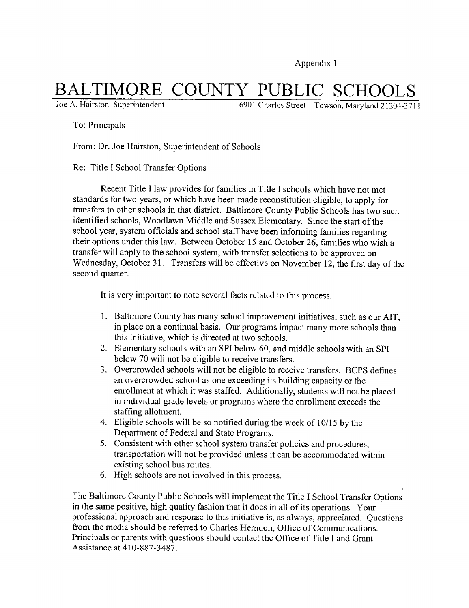Appendix <sup>I</sup>

# BALTIMORE COUNTY PUBLIC SCHOOLS

6901 Charles Street Towson, Maryland 21204-371 1

To: Principals

From: Dr. Joe Hairston, Superintendent of Schools

Re: Title <sup>I</sup> School Transfer Options

Recent Title <sup>I</sup> law provides for families in Title <sup>I</sup> schools which have not met standards for two years, or which have been made reconstitution eligible, to apply for transfers to other schools in that district. Baltimore County Public Schools has two such identified schools, Woodlawn Middle and Sussex Elementary. Since the start of the school year, system officials and school staff have been informing families regarding their options under this law. Between October <sup>15</sup> and October 26, families who wish <sup>a</sup> transfer will apply to the school system, with transfer selections to be approved on Wednesday, October 31. Transfers will be effective on November 12, the first day of the second quarter.

It is very important to note several facts related to this process .

- <sup>1</sup> . Baltimore County has many school improvement initiatives, such as our AIT, in place on a continual basis. Our programs impact many more schools than this initiative, which is directed at two schools .
- 2. Elementary schools with an SPI below 60, and middle schools with an SPI below 70 will not be eligible to receive transfers.
- 3. Overcrowded schools will not be eligible to receive transfers. BCPS defines an overcrowded school as one exceeding its building capacity or the enrollment at which it was staffed. Additionally, students will not be placed in individual grade levels or programs where the enrollment exceeds the staffing allotment.
- 4. Eligible schools will be so notified during the week of 10/15 by the Department of Federal and State Programs.
- 5 . Consistent with other school system transfer policies and procedures, transportation will not be provided unless it can be accommodated within existing school bus routes.
- 6 . High schools are not involved in this process.

The Baltimore County Public Schools will implement the Title <sup>I</sup> School Transfer Options in the same positive, high quality fashion that it does in all of its operations. Your professional approach and response to this initiative is, as always, appreciated. Questions from the media should be referred to Charles Herndon, Office of Communications . Principals or parents with questions should contact the Office of Title <sup>I</sup> and Grant Assistance at 410-887-3487.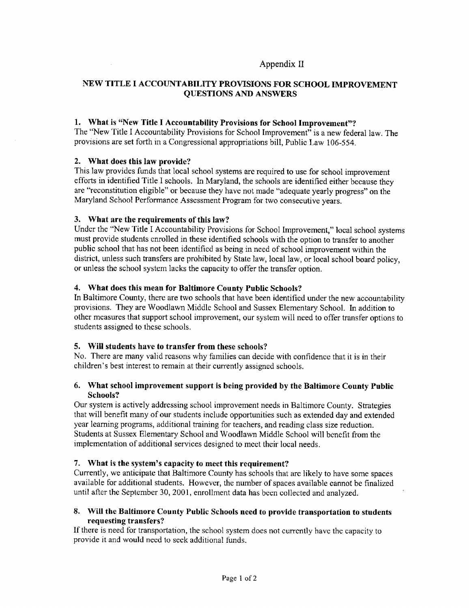### Appendix <sup>11</sup>

### NEW TITLE <sup>I</sup> ACCOUNTABILITY PROVISIONS FOR SCHOOL IMPROVEMENT QUESTIONS AND ANSWERS

### 1. What is "New Title <sup>I</sup> Accountability Provisions for School Improvement"?

The "New Title <sup>I</sup> Accountability Provisions for School Improvement" is <sup>a</sup> new federal law. The provisions are set forth in <sup>a</sup> Congressional appropriations bill, Public Law 106-554.

### 2. What does this law provide?

This law provides funds that local school systems are required to use for school improvement efforts in identified Title <sup>I</sup> schools. In Maryland, the schools are identified either because they are "reconstitution eligible" or because they have not made "adequate yearly progress" on the Maryland School Performance Assessment Program for two consecutive years.

#### 3. What are the requirements of this law?

Under the "New Title <sup>I</sup> Accountability Provisions for School Improvement," local school systems must provide students enrolled in these identified schools with the option to transfer to another public school that has not been identified as being in need of school improvement within the district, unless such transfers are prohibited by State law, local law, or local school board policy, or unless the school system lacks the capacity to offer the transfer option .

### 4. What does this mean for Baltimore County Public Schools?

In Baltimore County, there are two schools that have been identified under the new accountability provisions . They are Woodlawn Middle School and Sussex Elementary School . In addition to other measures that support school improvement, our system will need to offer transfer options to students assigned to these schools.

### 5. Will students have to transfer from these schools?

No. There are many valid reasons why families can decide with confidence that it is in their children's best interest to remain at their currently assigned schools.

### 6. What school improvement support is being provided by the Baltimore County Public Schools?

Our system is actively addressing school improvement needs in Baltimore County. Strategies that will benefit many of our students include opportunities such as extended day and extended year learning programs, additional training for teachers, and reading class size reduction. Students at Sussex Elementary School and Woodlawn Middle School will benefit from the implementation of additional services designed to meet their local needs.

#### 7. What is the system's capacity to meet this requirement?

Currently, we anticipate that Baltimore County has schools that are likely to have some spaces available for additional students. However, the number of spaces available cannot be finalized until after the September 30, 2001, enrollment data has been collected and analyzed.

### 8. Will the Baltimore County Public Schools need to provide transportation to students requesting transfers?

If there is need for transportation, the school system does not currently have the capacity to provide it and would need to seek additional funds.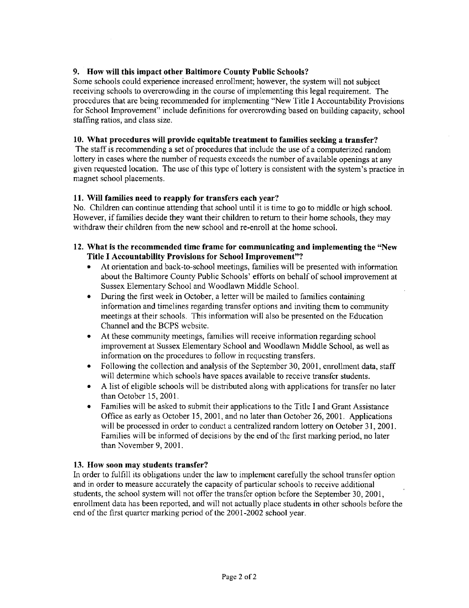### 9. How will this impact other Baltimore County Public Schools?

Some schools could experience increased enrollment; however, the system will not subject receiving schools to overcrowding in the course of implementing this legal requirement. The procedures that are being recommended for implementing "New Title <sup>I</sup> Accountability Provisions for School Improvement" include definitions for overcrowding based on building capacity, school staffing ratios, and class size .

### 10. What procedures will provide equitable treatment to families seeking a transfer?

The staff is recommending a set of procedures that include the use of a computerized random lottery in cases where the number of requests exceeds the number of available openings at any given requested location. The use of this type of lottery is consistent with the system's practice in magnet school placements.

### 11. Will families need to reapply for transfers each year?

No. Children can continue attending that school until it is time to go to middle or high school . However, if families decide they want their children to return to their home schools, they may withdraw their children from the new school and re-enroll at the home school.

### 12. What is the recommended time frame for communicating and implementing the "New Title I Accountability Provisions for School Improvement"?

- At orientation and back-to-school meetings, families will be presented with information about the Baltimore County Public Schools' efforts on behalf of school improvement at Sussex Elementary School and Woodlawn Middle School .
- During the first week in October, a letter will be mailed to families containing information and timelines regarding transfer options and inviting them to community meetings at their schools. This information will also be presented on the Education Channel and the BCPS website.
- " At these community meetings, families will receive information regarding school improvement at Sussex Elementary School and Woodlawn Middle School, as well as information on the procedures to follow in requesting transfers.
- Following the collection and analysis of the September 30, 2001, enrollment data, staff will determine which schools have spaces available to receive transfer students.
- A list of eligible schools will be distributed along with applications for transfer no later than October 15, 2001 .
- Families will be asked to submit their applications to the Title I and Grant Assistance Office as early as October 15, 2001, and no later than October 26, 2001. Applications will be processed in order to conduct a centralized random lottery on October 31, 2001. Families will be informed of decisions by the end of the first marking period, no later than November 9, 2001.

### 13. How soon may students transfer?

In order to fulfill its obligations under the law to implement carefully the school transfer option and in order to measure accurately the capacity of particular schools to receive additional students, the school system will not offer the transfer option before the September 30, 2001, enrollment data has been reported, and will not actually place students in other schools before the end of the first quarter marking period of the 2001-2002 school year.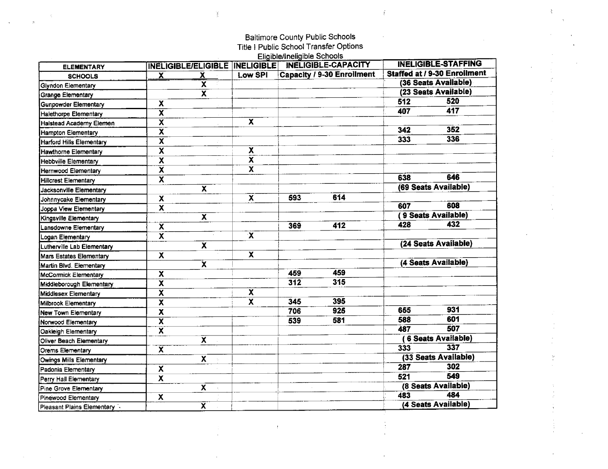### Baltimore County Public Schools Title <sup>I</sup> Public School Transfer Options Eligible/Ineligible Schools

 $\frac{1}{2}$ 

 $\frac{1}{2}$ 

 $\frac{1}{2}$ 

| <b>ELEMENTARY</b>               |                           |                         |                         | <u>Lugherer mongrero doncere</u> | INELIGIBLE/ELIGIBLE   INELIGIBLE   INELIGIBLE-CAPACITY |     | <b>INELIGIBLE-STAFFING</b>   |
|---------------------------------|---------------------------|-------------------------|-------------------------|----------------------------------|--------------------------------------------------------|-----|------------------------------|
| <b>SCHOOLS</b>                  | $\mathbf{x}$              | $\overline{\mathbf{X}}$ | Low SPI                 |                                  | Capacity / 9-30 Enrollment                             |     | Staffed at / 9-30 Enrollment |
| <b>Glyndon Elementary</b>       |                           | $\overline{\mathbf{x}}$ |                         |                                  |                                                        |     | (36 Seats Available)         |
| <b>Grange Elementary</b>        |                           | $\overline{\mathbf{x}}$ |                         |                                  |                                                        |     | (23 Seats Available)         |
| <b>Gunpowder Elementary</b>     | X                         |                         |                         |                                  |                                                        | 512 | 520                          |
| <b>Halethorpe Elementary</b>    | $\overline{\mathbf{x}}$   |                         |                         |                                  |                                                        | 407 | 417                          |
| Halstead Academy Elemen         | $\overline{\mathbf{x}}$   |                         | $\mathbf x$             |                                  |                                                        |     |                              |
| Hampton Elementary              | $\overline{\mathbf{x}}$   |                         |                         |                                  |                                                        | 342 | 352                          |
| <b>Harford Hills Elementary</b> | $\overline{\mathbf{x}}$   |                         |                         |                                  |                                                        | 333 | 336                          |
| Hawthorne Elementary            | X                         |                         | X                       |                                  |                                                        |     |                              |
| <b>Hebbville Elementary</b>     | X                         |                         | X                       |                                  |                                                        |     |                              |
| Hernwood Elementary             | $\overline{\mathbf{x}}$   |                         | X                       |                                  |                                                        |     |                              |
| <b>Hillcrest Elementary</b>     | x                         |                         |                         |                                  |                                                        | 638 | 646                          |
| Jacksonville Elementary         |                           | $\overline{\mathbf{x}}$ |                         |                                  |                                                        |     | (69 Seats Available)         |
| Johnnycake Elementary           | x                         |                         | $\overline{\mathbf{x}}$ | 593                              | 614                                                    |     |                              |
| Joppa View Elementary           | $\boldsymbol{\mathsf{x}}$ |                         |                         |                                  |                                                        | 607 | 608                          |
| Kingsville Elementary           |                           | $\overline{\mathbf{x}}$ |                         |                                  |                                                        |     | 9 Seats Available)           |
| Lansdowne Elementary            | $\overline{\mathbf{x}}$   |                         |                         | 369                              | 412                                                    | 428 | 432                          |
| Logan Elementary                | X                         |                         | $\mathbf{x}$            |                                  |                                                        |     |                              |
| Lutherville Lab Elementary      |                           | $\overline{\mathbf{x}}$ |                         |                                  |                                                        |     | (24 Seats Available)         |
| <b>Mars Estates Elementary</b>  | $\mathbf{x}$              |                         | $\overline{\mathbf{x}}$ |                                  |                                                        |     |                              |
| Martin Blvd. Elementary         |                           | $\overline{\mathbf{x}}$ |                         |                                  |                                                        |     | (4 Seats Available)          |
| McCormick Elementary            | X                         |                         |                         | 459                              | 459                                                    |     |                              |
| Middleborough Elementary        | $\overline{\mathbf{x}}$   |                         |                         | 312                              | 315                                                    |     |                              |
| Middlesex Elementary            | Χ                         |                         | X                       |                                  |                                                        |     |                              |
| Milbrook Elementary             | $\overline{\mathbf{X}}$   |                         | $\overline{\textbf{x}}$ | 345                              | 395                                                    |     |                              |
| <b>New Town Elementary</b>      | $\pmb{\mathsf{x}}$        |                         |                         | 706                              | 925                                                    | 655 | 931                          |
| Norwood Elementary              | $\overline{\mathbf{x}}$   |                         |                         | 539                              | 581                                                    | 588 | 601                          |
| Oakleigh Elementary             | $\mathbf{x}$              |                         |                         |                                  |                                                        | 487 | 507                          |
| Oliver Beach Elementary         |                           | $\overline{\mathsf{x}}$ |                         |                                  |                                                        |     | 6 Seats Available)           |
| Orems Elementary                | $\overline{\mathbf{x}}$   |                         |                         |                                  |                                                        | 333 | 337                          |
| Owings Mills Elementary         |                           | X.                      |                         |                                  |                                                        |     | (33 Seats Available)         |
| Padonia Elementary              | X                         |                         |                         |                                  |                                                        | 287 | 302                          |
| Perry Hall Elementary           | X                         |                         |                         |                                  |                                                        | 521 | 549                          |
| Pine Grove Elementary           |                           | $\overline{\mathbf{x}}$ |                         |                                  |                                                        |     | (8 Seats Available)          |
| Pinewood Elementary             | X                         |                         |                         |                                  |                                                        | 483 | 484                          |
| Pleasant Plains Elementary      |                           | $\overline{\mathbf{x}}$ |                         |                                  |                                                        |     | (4 Seats Available)          |

 $\bar{t}$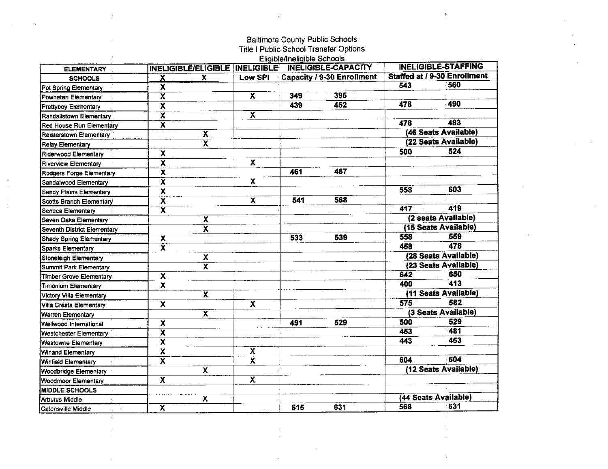### Baltimore County Public Schools Title <sup>I</sup> Public School Transfer Options

 $\overline{t}$ 

 $\mathcal{L}^{\mathcal{L}}$ 

 $\frac{1}{2}$ 

|                                |                         |                         |                                  | Eligible/Ineligible Schools |                                   |     | <b>INELIGIBLE-STAFFING</b>          |
|--------------------------------|-------------------------|-------------------------|----------------------------------|-----------------------------|-----------------------------------|-----|-------------------------------------|
| <b>ELEMENTARY</b>              |                         |                         | INELIGIBLE/ELIGIBLE   INELIGIBLE |                             | <b>INELIGIBLE-CAPACITY</b>        |     | <b>Staffed at / 9-30 Enrollment</b> |
| <b>SCHOOLS</b>                 | <u>х</u>                | X                       | Low SPI                          |                             | <b>Capacity / 9-30 Enrollment</b> |     | 560                                 |
| Pot Spring Elementary          | X                       |                         |                                  |                             |                                   | 543 |                                     |
| Powhatan Elementary            | $\overline{\mathsf{x}}$ |                         | $\overline{\mathbf{x}}$          | 349                         | 395                               |     |                                     |
| Prettyboy Elementary           | $\overline{\textbf{x}}$ |                         |                                  | 439                         | 452                               | 478 | 490                                 |
| Randallstown Elementary        | $\overline{\textbf{x}}$ |                         | $\overline{\mathbf{x}}$          |                             |                                   |     |                                     |
| Red House Run Elementary       | $\overline{\textsf{x}}$ |                         |                                  |                             |                                   | 478 | 483                                 |
| Reisterstown Elementary        |                         | $\overline{\mathbf{x}}$ |                                  |                             |                                   |     | (46 Seats Available)                |
| <b>Relay Elementary</b>        |                         | $\overline{\textbf{x}}$ |                                  |                             |                                   |     | (22 Seats Available)                |
| Riderwood Elementary           | $\overline{\mathbf{x}}$ |                         |                                  |                             |                                   | 500 | 524                                 |
| <b>Riverview Elementary</b>    | $\overline{\textsf{x}}$ |                         | $\overline{\mathbf{x}}$          |                             |                                   |     |                                     |
| Rodgers Forge Elementary       | $\overline{\mathbf{x}}$ |                         |                                  | 461                         | 467                               |     |                                     |
| Sandalwood Elementary          | $\overline{\mathbf{x}}$ |                         | X                                |                             |                                   |     |                                     |
| Sandy Plains Elementary        | $\overline{\mathbf{x}}$ |                         |                                  |                             |                                   | 558 | 603                                 |
| Scotts Branch Elementary       | $\overline{\textbf{x}}$ |                         | $\overline{\mathbf{x}}$          | 541                         | 568                               |     |                                     |
| Seneca Elementary              | $\overline{\textsf{x}}$ |                         |                                  |                             |                                   | 417 | 419                                 |
| Seven Oaks Elementary          |                         | $\overline{\textbf{x}}$ |                                  |                             |                                   |     | (2 seats Available)                 |
| Seventh District Elementary    |                         | $\overline{\textsf{x}}$ |                                  |                             |                                   |     | (15 Seats Available)                |
| <b>Shady Spring Elementary</b> | X                       |                         |                                  | 533                         | 539                               | 558 | 559                                 |
| Sparks Elementary              | $\overline{\textbf{x}}$ |                         |                                  |                             |                                   | 458 | 478                                 |
| Stoneleigh Elementary          |                         | X                       |                                  |                             |                                   |     | (28 Seats Available)                |
| Summit Park Elementary         |                         | $\overline{\textbf{x}}$ |                                  |                             |                                   |     | (23 Seats Available)                |
| Timber Grove Elementary        | $\overline{\mathbf{X}}$ |                         |                                  |                             |                                   | 642 | 650                                 |
| Timonium Elementary            | $\overline{\mathbf{x}}$ |                         |                                  |                             |                                   | 400 | 413                                 |
| Victory Villa Elementary       |                         | $\overline{\textbf{X}}$ |                                  |                             |                                   |     | (11 Seats Available)                |
| Villa Cresta Elementary        | $\overline{\mathbf{x}}$ |                         | $\overline{\mathbf{x}}$          |                             |                                   | 575 | 582                                 |
| Warren Elementary              |                         | $\overline{\textbf{x}}$ |                                  |                             |                                   |     | (3 Seats Available)                 |
| Wellwood International         | $\overline{\textbf{x}}$ |                         |                                  | 491                         | 529                               | 500 | 529                                 |
| Westchester Elementary         | $\overline{\textbf{x}}$ |                         |                                  |                             |                                   | 453 | 481                                 |
| Westowne Elementary            | $\overline{\mathbf{x}}$ |                         |                                  |                             |                                   | 443 | 453                                 |
| Winand Elementary              | $\overline{\mathbf{X}}$ |                         | X                                |                             |                                   |     |                                     |
| Winfield Elementary            | $\overline{\textsf{x}}$ |                         | $\overline{\textbf{x}}$          |                             |                                   | 604 | -604                                |
| Woodbridge Elementary          |                         | $\overline{\textbf{x}}$ |                                  |                             |                                   |     | (12 Seats Available)                |
| Woodmoor Elementary            | X                       |                         | X                                |                             |                                   |     |                                     |
| <b>MIDDLE SCHOOLS</b>          |                         |                         |                                  |                             |                                   |     |                                     |
| Arbutus Middle                 |                         | X                       |                                  |                             |                                   |     | (44 Seats Available)                |
| Catonsville Middle<br>$\sim$   | $\overline{\textbf{x}}$ |                         |                                  | 615                         | 631                               | 568 | 631                                 |
|                                |                         |                         |                                  |                             |                                   |     |                                     |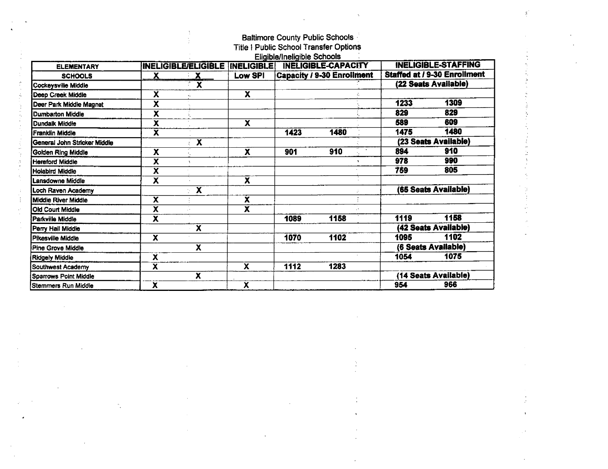### Baltimore County Public Schools

 $\hat{\mathbf{z}}$ 

Title I Public School Transfer Options

|                              |                         |                                 |                         | Eligible/Ineligible Schools |                                   |      |                                     |
|------------------------------|-------------------------|---------------------------------|-------------------------|-----------------------------|-----------------------------------|------|-------------------------------------|
| <b>ELEMENTARY</b>            |                         | INELIGIBLE/ELIGIBLE  INELIGIBLE |                         |                             | <b>INELIGIBLE-CAPACITY</b>        |      | <b>INELIGIBLE-STAFFING</b>          |
| <b>SCHOOLS</b>               | х                       | $\mathbf{X}$                    | Low SPI                 |                             | <b>Capacity / 9-30 Enrollment</b> |      | <b>Staffed at / 9-30 Enrollment</b> |
| Cockeysville Middle          |                         | $\overline{\mathbf{x}}$         |                         |                             |                                   |      | (22 Seats Available)                |
| Deep Creek Middle            | X                       |                                 | $\overline{\mathbf{x}}$ |                             |                                   |      |                                     |
| Deer Park Middle Magnet      | $\overline{\textbf{x}}$ |                                 |                         |                             |                                   | 1233 | 1309                                |
| <b>Dumbarton Middle</b>      | $\overline{\textbf{x}}$ |                                 |                         |                             |                                   | 829  | 829                                 |
| <b>Dundalk Middle</b>        | $\overline{\textbf{x}}$ |                                 | $\overline{\mathbf{x}}$ |                             |                                   | 589  | 609                                 |
| Franklin Middle              | $\overline{\mathbf{x}}$ |                                 |                         | 1423                        | 1480                              | 1475 | 1480                                |
| General John Stricker Middle |                         | $\overline{\textbf{x}}$         |                         |                             |                                   |      | (23 Seats Available)                |
| <b>Golden Ring Middle</b>    | X                       |                                 | $\overline{\mathbf{x}}$ | 901                         | 910                               | 894  | 910                                 |
| <b>Hereford Middle</b>       | $\overline{\mathbf{x}}$ | $\Delta$                        |                         |                             |                                   | 978  | 990                                 |
| <b>Holabird Middle</b>       | χ                       |                                 |                         |                             |                                   | 759  | 805                                 |
| Lansdowne Middle             | χ                       |                                 | $\overline{\textbf{x}}$ |                             |                                   |      |                                     |
| Loch Raven Academy           |                         | $\overline{\mathbf{x}}$         |                         |                             |                                   |      | (65 Seats Available)                |
| Middle River Middle          | χ                       |                                 | $\bar{\mathbf{x}}$      |                             |                                   |      |                                     |
| <b>Old Court Middle</b>      | $\overline{\textbf{x}}$ | y.                              | $\overline{\mathbf{x}}$ |                             |                                   |      |                                     |
| Parkville Middle             | X                       |                                 |                         | 1089                        | 1158                              | 1119 | 1158                                |
| Perry Hall Middle            |                         | $\overline{\mathbf{x}}$         |                         |                             |                                   |      | (42 Seats Available)                |
| Pikesville Middle            | x                       |                                 |                         | 1070                        | 1102                              | 1095 | 1102                                |
| Pine Grove Middle            |                         | $\overline{\textbf{x}}$         |                         |                             |                                   |      | (6 Seats Available)                 |
| <b>Ridgely Middle</b>        | X                       |                                 |                         |                             |                                   | 1054 | 1075                                |
| Southwest Academy            | χ                       |                                 | $\overline{\mathbf{x}}$ | 1112                        | 1283                              |      |                                     |
| Sparrows Point Middle        |                         | X                               |                         |                             |                                   |      | (14 Seats Available)                |
| Stemmers Run Middle          | $\overline{\textbf{x}}$ |                                 | X                       |                             |                                   | 954  | 966                                 |

 $\bar{\gamma}$  $\frac{1}{2}$ 

 $\mathcal{A}$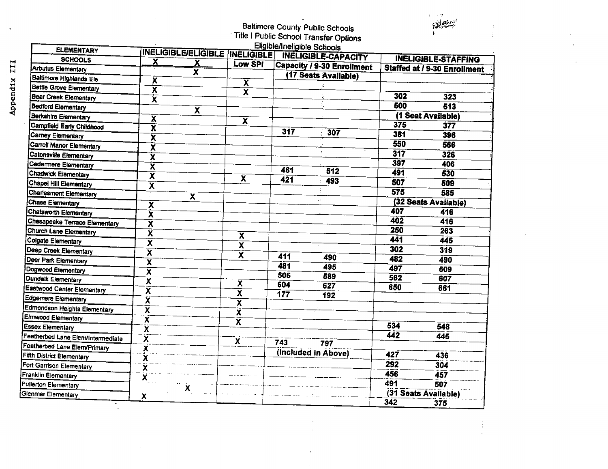### Baltimore County Public Schools The I Public School Transfer Options

| ٦ |  |
|---|--|
|   |  |
|   |  |
|   |  |

 $\frac{1}{\epsilon}$ 

 $\sim$ 

| <b>ELEMENTARY</b>                 |                         |                                  |                         | Eligible/Ineligible Schools |                                   |     |                                     |
|-----------------------------------|-------------------------|----------------------------------|-------------------------|-----------------------------|-----------------------------------|-----|-------------------------------------|
| <b>SCHOOLS</b>                    |                         | INELIGIBLE/ELIGIBLE   INELIGIBLE |                         |                             | <b>INELIGIBLE-CAPACITY</b>        |     | <b>INELIGIBLE-STAFFING</b>          |
| Arbutus Elementary                | X                       | <u>х</u>                         | Low SPI                 |                             | <b>Capacity / 9-30 Enrollment</b> |     | <b>Staffed at / 9-30 Enrollment</b> |
| Baltimore Highlands Ele           |                         | x                                |                         |                             | (17 Seats Available)              |     |                                     |
| <b>Battle Grove Elementary</b>    | $\overline{\mathbf{x}}$ |                                  | $\overline{\mathbf{x}}$ |                             |                                   |     |                                     |
| Bear Creek Elementary             | $\overline{\mathbf{x}}$ |                                  | $\overline{\mathbf{x}}$ |                             |                                   | 302 | 323                                 |
|                                   | $\overline{\mathbf{x}}$ |                                  |                         |                             |                                   | 500 | 513                                 |
| Bedford Elementary                |                         | $\overline{\textbf{x}}$          |                         |                             |                                   |     |                                     |
| Berkshire Elementary              | X                       |                                  | $\overline{\mathbf{x}}$ |                             |                                   | 375 | (1 Seat Available)                  |
| Campfield Early Childhood         | $\overline{\textbf{x}}$ |                                  |                         | $31\overline{7}$            | 307                               | 381 | 377                                 |
| <b>Carney Elementary</b>          | $\overline{\textbf{x}}$ |                                  |                         |                             |                                   |     | 396                                 |
| Carroll Manor Elementary          | $\overline{\textbf{x}}$ |                                  |                         |                             |                                   | 550 | 566                                 |
| Catonsville Elementary            | $\overline{\textbf{x}}$ |                                  |                         |                             |                                   | 317 | 326                                 |
| Cedarmere Elementary              | $\overline{\textbf{x}}$ |                                  |                         | 461                         | 512                               | 397 | 406                                 |
| Chadwick Elementary               | $\overline{\mathbf{x}}$ |                                  | $\overline{\mathbf{x}}$ | 421                         |                                   | 491 | 530                                 |
| Chapel Hill Elementary            | $\overline{\textbf{x}}$ |                                  |                         |                             | 493                               | 507 | 509                                 |
| Charlesmont Elementary            | Ŵ                       | $\overline{\textbf{x}}$          |                         |                             |                                   | 575 | 585                                 |
| <b>Chase Elementary</b>           | $\overline{\mathbf{x}}$ |                                  |                         |                             | $\epsilon$ .                      |     | (32 Seats Available)                |
| Chatsworth Elementary             | $\overline{\mathbf{X}}$ |                                  |                         |                             |                                   | 407 | 416                                 |
| Chesapeake Terrace Elementary     | $\overline{\mathbf{x}}$ |                                  |                         |                             |                                   | 402 | 416                                 |
| Church Lane Elementary            | $\overline{\textbf{x}}$ |                                  | $\overline{\textbf{x}}$ |                             |                                   | 250 | 263                                 |
| Colgate Elementary                | $\overline{\mathbf{x}}$ |                                  | $\overline{\textbf{x}}$ |                             |                                   | 441 | 445                                 |
| Deep Creek Elementary             | $\overline{\textbf{x}}$ |                                  |                         |                             |                                   | 302 | 319                                 |
| Deer Park Elementary              | $\overline{\mathbf{x}}$ |                                  | $\overline{\mathbf{x}}$ | 411                         | 490                               | 482 | 490                                 |
| Dogwood Elementary                | $\overline{\textbf{x}}$ |                                  |                         | 481                         | 495                               | 497 | 509                                 |
| Dundalk Elementary                | $\overline{\mathbf{x}}$ |                                  |                         | 506                         | 589                               | 562 | 607                                 |
| Eastwood Center Elementary        | X                       |                                  | $\overline{\mathbf{x}}$ | 604                         | 627                               | 650 | 661                                 |
| Edgemere Elementary               | X                       |                                  | $\overline{\textbf{x}}$ | 177                         | 192                               |     |                                     |
| Edmondson Heights Elementary      | $\overline{\textbf{x}}$ |                                  | X                       |                             |                                   |     |                                     |
| Elmwood Elementary                | Ã                       |                                  | $\overline{\mathbf{x}}$ |                             |                                   |     |                                     |
| <b>Essex Elementary</b>           |                         |                                  | $\overline{\mathbf{x}}$ |                             |                                   | 534 | 548                                 |
| Featherbed Lane Elenvintermediate | X                       |                                  |                         |                             |                                   | 442 | 445                                 |
| Featherbed Lane Elem/Primary      | X                       |                                  | $\overline{\mathbf{x}}$ | 743                         | 797                               |     |                                     |
| Fifth District Elementary         | $\overline{\mathbf{x}}$ |                                  |                         | (Included in Above)         |                                   | 427 | $\overline{436}$                    |
| Fort Garrison Elementary          | X                       |                                  |                         |                             |                                   | 292 | 304                                 |
| Franklin Elementary               | X                       |                                  |                         |                             |                                   | 456 | 457                                 |
|                                   | X                       |                                  |                         |                             |                                   | 491 | 507                                 |
| Fullerton Elementary              |                         | X                                |                         |                             |                                   |     | (31 Seats Available)                |
| Glenmar Elementary                | x                       |                                  |                         |                             |                                   | 342 | 375                                 |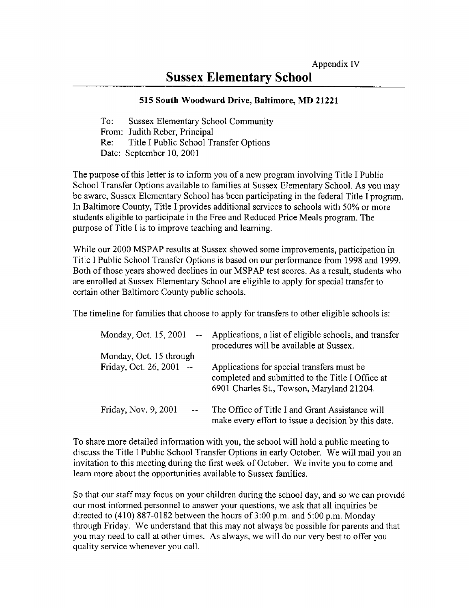### Sussex Elementary School

### <sup>515</sup> South Woodward Drive, Baltimore, MD <sup>21221</sup>

To: Sussex Elementary School Community From: Judith Reber, Principal<br>Re: Title I Public School Ti Title I Public School Transfer Options Date: September 10, 2001

The purpose of this letter is to inform you of a new program involving Title <sup>I</sup> Public School Transfer Options available to families at Sussex Elementary School. As you may be aware, Sussex Elementary School has been participating in the federal Title <sup>I</sup> program. In Baltimore County, Title <sup>I</sup> provides additional services to schools with 50% or more students eligible to participate in the Free and Reduced Price Meals program. The purpose of Title <sup>I</sup> is to improve teaching and learning.

While our 2000 MSPAP results at Sussex showed some improvements, participation in Title <sup>1</sup> Public School Transfer Options is based on our performance from 1998 and 1999. Both of those years showed declines in our MSPAP test scores. As <sup>a</sup> result, students who are enrolled at Sussex Elementary School are eligible to apply for special transfer to certain other Baltimore County public schools.

The timeline for families that choose to apply for transfers to other eligible schools is:

| Monday, Oct. 15, 2001<br>$\frac{1}{2}$ and $\frac{1}{2}$ | Applications, a list of eligible schools, and transfer<br>procedures will be available at Sussex.                                           |
|----------------------------------------------------------|---------------------------------------------------------------------------------------------------------------------------------------------|
| Monday, Oct. 15 through                                  |                                                                                                                                             |
| Friday, Oct. 26, 2001 --                                 | Applications for special transfers must be<br>completed and submitted to the Title I Office at<br>6901 Charles St., Towson, Maryland 21204. |
| Friday, Nov. 9, 2001                                     | The Office of Title I and Grant Assistance will<br>make every effort to issue a decision by this date.                                      |

To share more detailed information with you, the school will hold a public meeting to discuss the Title <sup>I</sup> Public School Transfer Options in early October. We will mail you an invitation to this meeting during the first week of October. We invite you to come and learn more about the opportunities available to Sussex families .

So that our staff may focus on your children during the school day, and so we can provide our most informed personnel to answer your questions, we ask that all inquiries be directed to  $(410)$  887-0182 between the hours of 3:00 p.m. and 5:00 p.m. Monday through Friday. We understand that this may not always be possible for parents and that you may need to call at other times. As always, we will do our very best to offer you quality service whenever you call.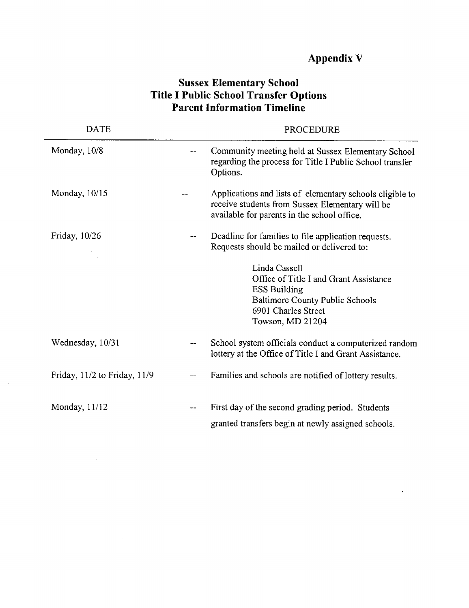### Appendix V

### Sussex Elementary School Title I Public School Transfer Options Parent Information Timeline

| <b>DATE</b>                  |            | <b>PROCEDURE</b>                                                                                                                                             |
|------------------------------|------------|--------------------------------------------------------------------------------------------------------------------------------------------------------------|
| Monday, 10/8                 | $\sim$ $-$ | Community meeting held at Sussex Elementary School<br>regarding the process for Title I Public School transfer<br>Options.                                   |
| Monday, 10/15                |            | Applications and lists of elementary schools eligible to<br>receive students from Sussex Elementary will be<br>available for parents in the school office.   |
| Friday, 10/26                |            | Deadline for families to file application requests.<br>Requests should be mailed or delivered to:                                                            |
|                              |            | Linda Cassell<br>Office of Title I and Grant Assistance<br><b>ESS Building</b><br>Baltimore County Public Schools<br>6901 Charles Street<br>Towson, MD 21204 |
| Wednesday, 10/31             | $-$        | School system officials conduct a computerized random<br>lottery at the Office of Title I and Grant Assistance.                                              |
| Friday, 11/2 to Friday, 11/9 | $-$        | Families and schools are notified of lottery results.                                                                                                        |
| Monday, 11/12                | $- -$      | First day of the second grading period. Students<br>granted transfers begin at newly assigned schools.                                                       |

 $\sim$   $\sim$ 

 $\sim$ 

 $\mathcal{L}_{\rm{max}}$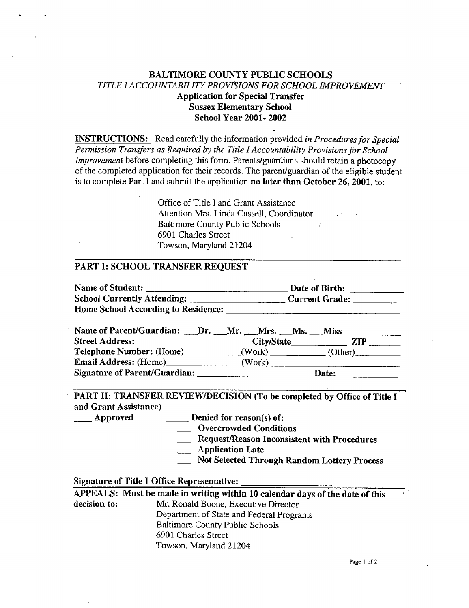### BALTIMORE COUNTY PUBLIC SCHOOLS TITLE <sup>I</sup> ACCOUNTABILITY PROVISIONS FOR SCHOOL IMPROVEMENT Application for Special Transfer Sussex Elementary School School Year 2001- 2002

**INSTRUCTIONS:** Read carefully the information provided in Procedures for Special Permission Transfers as Required by the Title I Accountability Provisions for School Improvement before completing this form. Parents/guardians should retain a photocopy of the completed application for their records. The parent/guardian of the eligible student is to complete Part <sup>I</sup> and submit the application no later than October 26, 2001, to:

> Office of Title <sup>1</sup> and Grant Assistance Attention Mrs. Linda Cassell, Coordinator Baltimore County Public Schools 6901 Charles Street Towson, Maryland 21204

### PART I: SCHOOL TRANSFER REQUEST

| Name of Student:                    | Date of Birth:        |
|-------------------------------------|-----------------------|
| <b>School Currently Attending:</b>  | <b>Current Grade:</b> |
| Home School According to Residence: |                       |

| Name of Parent/Guardian: __Dr. __Mr. __Mrs. __Ms. __Miss |        |         |
|----------------------------------------------------------|--------|---------|
|                                                          |        | ZIP     |
| Telephone Number: (Home) _______                         | (Work) | (Other) |
| Email Address: (Home)                                    | (Work) |         |
| Signature of Parent/Guardian:                            |        | Date:   |

PART 11: TRANSFER REVIEW/DECISION (To be completed by Office of Title <sup>I</sup> and Grant Assistance)

Approved

Denied for reason(s) of:

Overcrowded Conditions

- **\_\_ Request/Reason Inconsistent with Procedures**
- Application Late

Not Selected Through Random Lottery Process

### Signature of Title I Office Representative:

APPEALS: Must be made in writing within 10 calendar days of the date of this decision to: Mr. Ronald Boone. Executive Director Mr. Ronald Boone, Executive Director Department of State and Federal Programs Baltimore County Public Schools 6901 Charles Street Towson, Maryland 21204

Page <sup>1</sup> of 2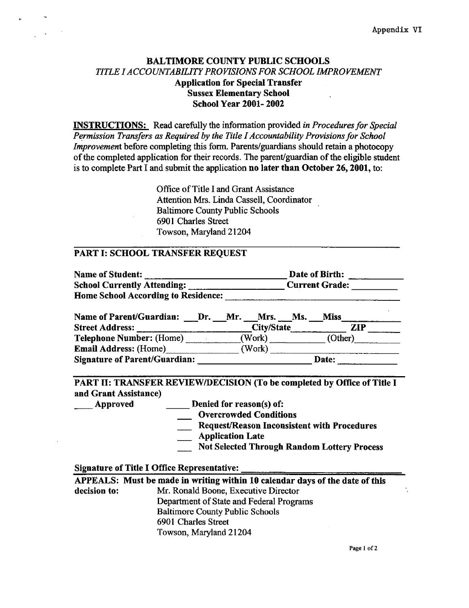### BALTIMORE COUNTY PUBLIC SCHOOLS TITLE I ACCOUNTABILITY PROVISIONS FOR SCHOOL IMPROVEMENT Application for Special Transfer Sussex Elementary School School Year 2001- 2002

INSTRUCTIONS: Read carefully the information provided in Procedures for Special Permission Transfers as Required by the Title I Accountability Provisions for School Improvement before completing this form. Parents/guardians should retain a photocopy of the completed application for their records . The parent/guardian of the eligible student is to complete Part <sup>I</sup> and submit the application no later than October 26, 2001, to:

> Office of Title <sup>I</sup> and Grant Assistance Attention Mrs. Linda Cassell, Coordinator Baltimore County Public Schools 6901 Charles Street Towson, Maryland 21204

### PART I: SCHOOL TRANSFER REQUEST

| Name of Student:                                                   |        | Date of Birth:        |  |  |  |
|--------------------------------------------------------------------|--------|-----------------------|--|--|--|
| School Currently Attending: 2008. [19] School Currently Attending: |        | <b>Current Grade:</b> |  |  |  |
| <b>Home School According to Residence:</b>                         |        |                       |  |  |  |
| Name of Parent/Guardian: Dr. Mr. Mrs. Ms.                          |        |                       |  |  |  |
|                                                                    |        | City/State <b>ZIP</b> |  |  |  |
| Telephone Number: (Home) (Work)                                    |        | (Other)               |  |  |  |
| Email Address: (Home)                                              | (Work) |                       |  |  |  |
| <b>Signature of Parent/Guardian:</b>                               |        | <b>Date:</b>          |  |  |  |

### PART 11: TRANSFER REVIEW/DECISION (To be completed by Office of Title <sup>I</sup> and Grant Assistance)

- Approved
- Denied for reason(s) of:
	- Overcrowded Conditions
	- Request/Reason Inconsistent with Procedures
	- Application Late
	- Not Selected Through Random Lottery Process

#### Signature of Title I Office Representative:

|              | APPEALS: Must be made in writing within 10 calendar days of the date of this |
|--------------|------------------------------------------------------------------------------|
| decision to: | Mr. Ronald Boone, Executive Director                                         |
|              | Department of State and Federal Programs                                     |
|              | <b>Baltimore County Public Schools</b>                                       |
|              | 6901 Charles Street                                                          |
|              | Towson, Maryland 21204                                                       |

Page <sup>1</sup> of 2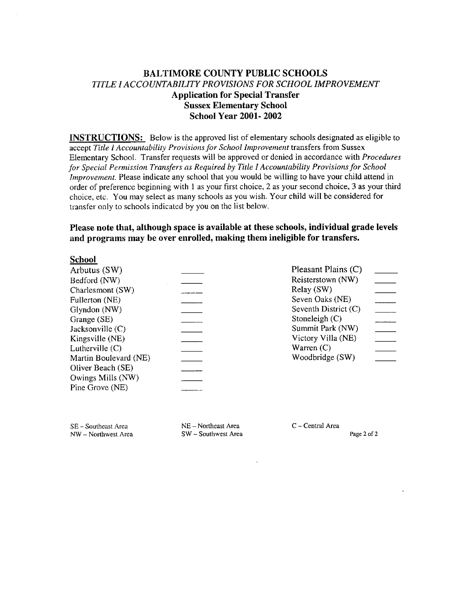### BALTIMORE COUNTY PUBLIC SCHOOLS TITLE <sup>I</sup> ACCOUNTABILITY PROVISIONS FOR SCHOOL IMPROVEMENT Application for Special Transfer Sussex Elementary School School Year 2001- 2002

INSTRUCTIONS: Below is the approved list of elementary schools designated as eligible to accept Title I Accountability Provisions for School Improvement transfers from Sussex Elementary School. Transfer requests will be approved or denied in accordance with Procedures for Special Permission Transfers as Required by Title I Accountability Provisions for School Improvement. Please indicate any school that you would be willing to have your child attend in order of preference beginning with <sup>1</sup> as your first choice, 2 as your second choice, 3 as your third choice, etc. You may select as many schools as you wish. Your child will be considered for transfer only to schools indicated by you on the list below.

Please note that, although space is available at these schools, individual grade levels and programs may be over enrolled, making them ineligible for transfers.

### School

| Pleasant Plains (C)  |
|----------------------|
| Reisterstown (NW)    |
| Relay (SW)           |
| Seven Oaks (NE)      |
| Seventh District (C) |
| Stoneleigh (C)       |
| Summit Park (NW)     |
| Victory Villa (NE)   |
| Warren $(C)$         |
| Woodbridge (SW)      |
|                      |
|                      |
|                      |
|                      |

k.

SE - Southeast Area NW - Northwest Area NE - Northeast Area SW - Southwest Area C - Central Area

Page 2 of 2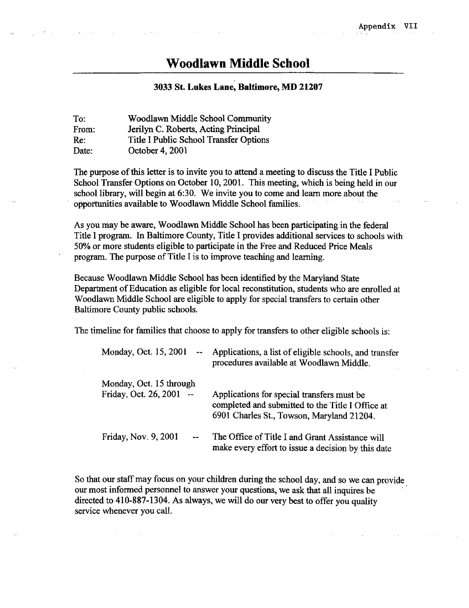### Woodlawn Middle School

### <sup>3033</sup> St. Lukes Lane, Baltimore, MD <sup>21207</sup>

To: Woodlawn Middle School Community<br>From: Jerilyn C. Roberts. Acting Principal From: Jerilyn C. Roberts, Acting Principal<br>Re: Title I Public School Transfer Optio Re: Title I Public School Transfer Options<br>Date: October 4, 2001 October 4, 2001

The purpose of this letter is to invite you to attend a meeting to discuss the Title <sup>I</sup> Public School Transfer Options on October 10, 2001. This meeting, which is being held in our school library, will begin at 6:30. We invite you to come and learn more about the opportunities available to Woodlawn Middle School families.

As you may be aware, Woodlawn Middle School has been participating in the federal Title <sup>I</sup> program. In Baltimore County, Title <sup>I</sup> provides additional services to schools with 50% or more students eligible to participate in the Free and Reduced Price Meals program. The purpose of Title <sup>I</sup> is to improve teaching and learning.

Because Woodlawn Middle School has been identified by the Maryland State Department of Education as eligible for local reconstitution, students who are enrolled at Woodlawn Middle School are eligible to apply for special transfers to certain other Baltimore County public schools .

The timeline for families that choose to apply for transfers to other eligible schools is:

| Monday, Oct. 15, 2001<br>$\frac{1}{2}$              | Applications, a list of eligible schools, and transfer<br>procedures available at Woodlawn Middle.                                          |
|-----------------------------------------------------|---------------------------------------------------------------------------------------------------------------------------------------------|
| Monday, Oct. 15 through<br>Friday, Oct. 26, 2001 -- | Applications for special transfers must be<br>completed and submitted to the Title I Office at<br>6901 Charles St., Towson, Maryland 21204. |
| Friday, Nov. 9, 2001                                | The Office of Title I and Grant Assistance will<br>make every effort to issue a decision by this date                                       |

So that our staff may focus on your children during the school day, and so we can provide our most informed personnel to answer your questions, we ask that all inquires be directed to 410-887-1304. As always, we will do our very best to offer you quality service whenever you call.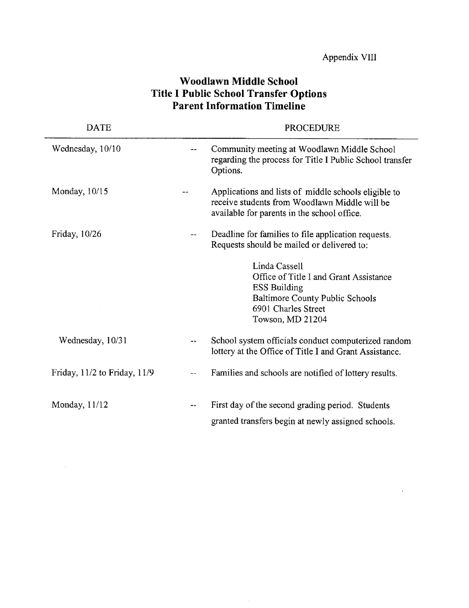| <b>DATE</b>                  |                          | <b>PROCEDURE</b>                                                                                                                                             |
|------------------------------|--------------------------|--------------------------------------------------------------------------------------------------------------------------------------------------------------|
| Wednesday, 10/10             |                          | Community meeting at Woodlawn Middle School<br>regarding the process for Title I Public School transfer<br>Options.                                          |
| Monday, 10/15                |                          | Applications and lists of middle schools eligible to<br>receive students from Woodlawn Middle will be<br>available for parents in the school office.         |
| Friday, 10/26                |                          | Deadline for families to file application requests.<br>Requests should be mailed or delivered to:                                                            |
|                              |                          | Linda Cassell<br>Office of Title I and Grant Assistance<br><b>ESS Building</b><br>Baltimore County Public Schools<br>6901 Charles Street<br>Towson, MD 21204 |
| Wednesday, 10/31             |                          | School system officials conduct computerized random<br>lottery at the Office of Title I and Grant Assistance.                                                |
| Friday, 11/2 to Friday, 11/9 | $\overline{\phantom{m}}$ | Families and schools are notified of lottery results.                                                                                                        |
| Monday, $11/12$              |                          | First day of the second grading period. Students<br>granted transfers begin at newly assigned schools.                                                       |

### Woodlawn Middle School Title I Public School Transfer Options Parent Information Timeline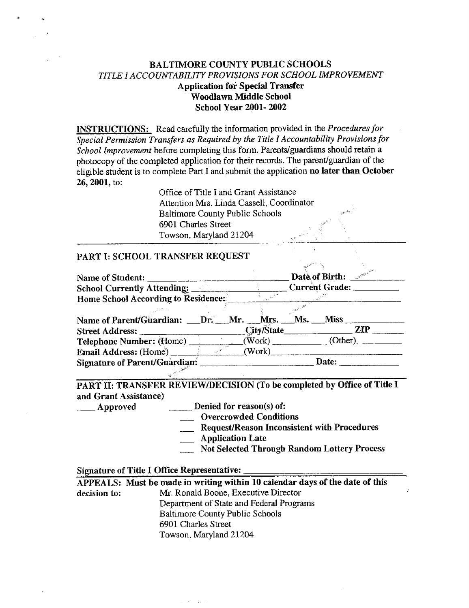### BALTIMORE COUNTY PUBLIC SCHOOLS TITLE <sup>1</sup> ACCOUNTABILITY PROVISIONS FOR SCHOOL IMPROVEMENT Application for Special Transfer Woodlawn Middle School School Year 2001- 2002

**INSTRUCTIONS:** Read carefully the information provided in the Procedures for Special Permission Transfers as Required by the Title <sup>I</sup> Accountability Provisions for School Improvement before completing this form. Parents/guardians should retain a photocopy of the completed application for their records . The parent/guardian of the eligible student is to complete Part <sup>I</sup> and submit the application no later than October 26, 2001, to:

> Office of Title <sup>I</sup> and Grant Assistance Attention Mrs. Linda Cassell, Coordinator Baltimore County Public Schools 6901 Charles Street Towson, Maryland 21204

#### PART I: SCHOOL TRANSFER REQUEST

|                                                                                  |  |  |  |  | Date of Birth: $\frac{e^{i\omega}}{2}$ |  |
|----------------------------------------------------------------------------------|--|--|--|--|----------------------------------------|--|
| Home School According to Residence:                                              |  |  |  |  |                                        |  |
|                                                                                  |  |  |  |  |                                        |  |
| Name of Parent/Guardian: _Dr. Mr. Mrs. Ms. Miss _______                          |  |  |  |  |                                        |  |
| Street Address: City/State City/State ZIP                                        |  |  |  |  |                                        |  |
| Telephone Number: (Home) _______________(Work) ____________(Other) _____________ |  |  |  |  |                                        |  |
| Email Address: (Home) (Work)                                                     |  |  |  |  |                                        |  |
| Signature of Parent/Guardian:                                                    |  |  |  |  | Date:                                  |  |

PART II: TRANSFER REVIEW/DECISION (To be completed by Office of Title <sup>I</sup> and Grant Assistance)<br>
<u>Late</u> Approved

Denied for reason(s) of:

**COVERGIVE CONDUCTS** 

Request/Reason Inconsistent with Procedures

- **Application Late**
- Not Selected Through Random Lottery Process

### Signature of Title I Office Representative:

|              | APPEALS: Must be made in writing within 10 calendar days of the date of this |
|--------------|------------------------------------------------------------------------------|
| decision to: | Mr. Ronald Boone, Executive Director                                         |
|              | Department of State and Federal Programs                                     |
|              | <b>Baltimore County Public Schools</b>                                       |
|              | 6901 Charles Street                                                          |
|              | Towson, Maryland 21204                                                       |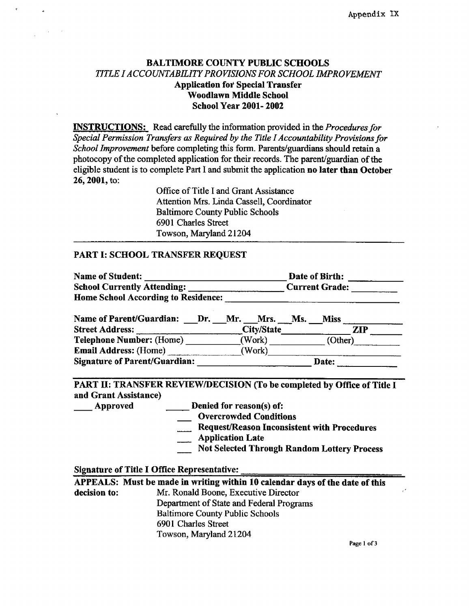### BALTIMORE COUNTY PUBLIC SCHOOLS TITLE I ACCOUNTABILITY PROVISIONS FOR SCHOOL IMPROVEMENT Application for Special Transfer Woodlawn Middle School School Year 2001- 2002

**INSTRUCTIONS:** Read carefully the information provided in the *Procedures for* Special Permission Transfers as Required by the Title I Accountability Provisions for School Improvement before completing this form. Parents/guardians should retain a photocopy of the completed application for their records. The parent/guardian of the eligible student is to complete Part <sup>I</sup> and submit the application no later than October 26, 2001, to:

> Office of Title <sup>I</sup> and Grant Assistance Attention Mrs. Linda Cassell, Coordinator Baltimore County Public Schools 6901 Charles Street Towson, Maryland 21204

### PART I: SCHOOL TRANSFER REQUEST

| <b>Name of Student:</b>                    |            | Date of Birth: |                       |     |
|--------------------------------------------|------------|----------------|-----------------------|-----|
| <b>School Currently Attending:</b>         |            |                | <b>Current Grade:</b> |     |
| <b>Home School According to Residence:</b> |            |                |                       |     |
| <b>Name of Parent/Guardian:</b><br>Dr.     | Mr. Mrs.   | Ms.            | <b>Miss</b>           |     |
| <b>Street Address:</b>                     | City/State |                |                       | ZIP |
| Telephone Number: (Home)                   | (Work)     |                | (Other)               |     |
| Email Address: (Home)                      | (Work)     |                |                       |     |
| <b>Signature of Parent/Guardian:</b>       |            |                | Date:                 |     |

### PART II: TRANSFER REVIEW/DECISION (To be completed by Office of Title <sup>I</sup> and Grant Assistance)

Approved Denied for reason(s) of:

- \_ Overcrowded Conditions
- Request/Reason Inconsistent with Procedures
- Application Late
- Not Selected Through Random Lottery Process

#### Signature of Title I Office Representative:

|              | APPEALS: Must be made in writing within 10 calendar days of the date of this |  |  |  |  |
|--------------|------------------------------------------------------------------------------|--|--|--|--|
| decision to: | Mr. Ronald Boone, Executive Director                                         |  |  |  |  |
|              | Department of State and Federal Programs                                     |  |  |  |  |
|              | <b>Baltimore County Public Schools</b>                                       |  |  |  |  |
|              | 6901 Charles Street                                                          |  |  |  |  |
|              | Towson, Maryland 21204                                                       |  |  |  |  |

Page <sup>1</sup> of 3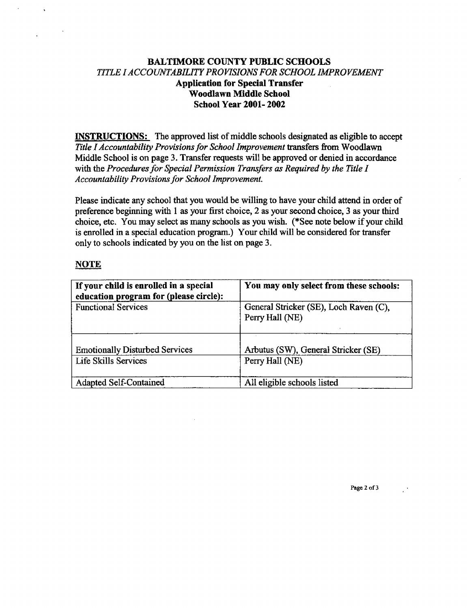### BALTIMORE COUNTY PUBLIC SCHOOLS TITLE <sup>I</sup> ACCOUNTABILITY PROVISIONS FOR SCHOOL IMPROVEMENT Application for Special Transfer Woodlawn Middle School School Year 2001- 2002

INSTRUCTIONS: The approved list of middle schools designated as eligible to accept Title I Accountability Provisions for School Improvement transfers from Woodlawn Middle School is on page 3. Transfer requests will be approved or denied in accordance with the Procedures for Special Permission Transfers as Required by the Title I Accountability Provisions for School Improvement.

Please indicate any school that you would be willing to have your child attend in order of preference beginning with <sup>1</sup> as your first choice, 2 as your second choice, 3 as your third choice, etc. You may select as many schools as you wish. (\*See note below if your child is enrolled in a special education program.) Your child will be considered for transfer only to schools indicated by you on the list on page 3.

### **NOTE**

| If your child is enrolled in a special<br>education program for (please circle): | You may only select from these schools:                   |
|----------------------------------------------------------------------------------|-----------------------------------------------------------|
| <b>Functional Services</b>                                                       | General Stricker (SE), Loch Raven (C),<br>Perry Hall (NE) |
| <b>Emotionally Disturbed Services</b>                                            | Arbutus (SW), General Stricker (SE)                       |
| Life Skills Services                                                             | Perry Hall (NE)                                           |
| Adapted Self-Contained                                                           | All eligible schools listed                               |

Page 2 of 3